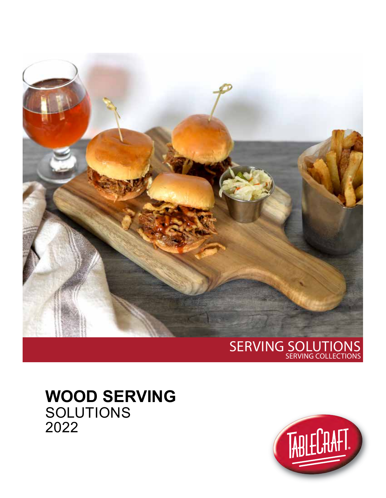

### SERVING SOLUTIONS SERVING COLLECTIONS

# **WOOD SERVING SOLUTIONS** 2022

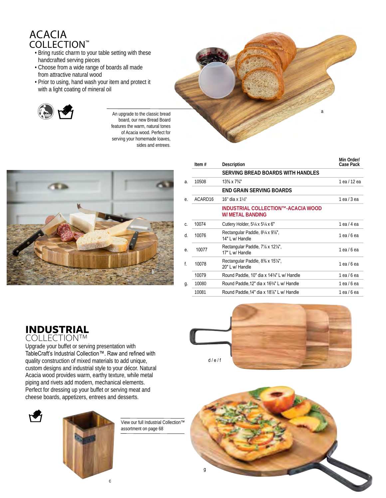## ACACIA COLLECTION™

- Bring rustic charm to your table setting with these handcrafted serving pieces
- Choose from a wide range of boards all made from attractive natural wood
- Prior to using, hand wash your item and protect it with a light coating of mineral oil



An upgrade to the classic bread board, our new Bread Board features the warm, natural tones of Acacia wood. Perfect for serving your homemade loaves, sides and entrees.



|    | Item $#$            | Description                                                   | Min Order/<br>Case Pack |
|----|---------------------|---------------------------------------------------------------|-------------------------|
|    |                     | SERVING BREAD BOARDS WITH HANDLES                             |                         |
| a. | 10508               | $13\% \times 7\frac{3}{4}$                                    | 1 ea / 12 ea            |
|    |                     | END GRAIN SERVING BOARDS                                      |                         |
| е. | ACARD <sub>16</sub> | $16"$ dia x $1\frac{1}{2}$                                    | $1$ ea $/$ 3 ea         |
|    |                     | INDUSTRIAL COLLECTION™-ACACIA WOOD<br>W/ METAL BANDING        |                         |
| C. | 10074               | Cutlery Holder, $5\frac{1}{4} \times 5\frac{1}{4} \times 6$ " | 1 ea / 4 ea             |
| d. | 10076               | Rectangular Paddle, 81/4 x 91/8",<br>14" L w/ Handle          | 1 ea / 6 ea             |
| е. | 10077               | Rectangular Paddle, 7% x 12%",<br>17" L w/ Handle             | $1$ ea $/6$ ea          |
| f. | 10078               | Rectangular Paddle, 8% x 15%",<br>20" L w/ Handle             | $1$ ea $/6$ ea          |
|    | 10079               | Round Paddle, 10" dia x 1434" L w/ Handle                     | $1$ ea $/6$ ea          |
| g. | 10080               | Round Paddle, 12" dia x 163/4" L w/ Handle                    | 1 ea / 6 ea             |
|    | 10081               | Round Paddle, 14" dia x 18%" L w/ Handle                      | 1 ea / 6 ea             |
|    |                     |                                                               |                         |

a

# **INDUSTRIAL** COLLECTION™

Upgrade your buffet or serving presentation with TableCraft's Industrial Collection™. Raw and refined with quality construction of mixed materials to add unique, custom designs and industrial style to your décor. Natural Acacia wood provides warm, earthy texture, while metal piping and rivets add modern, mechanical elements. Perfect for dressing up your buffet or serving meat and cheese boards, appetizers, entrees and desserts.





View our full Industrial Collection™ assortment on page 68